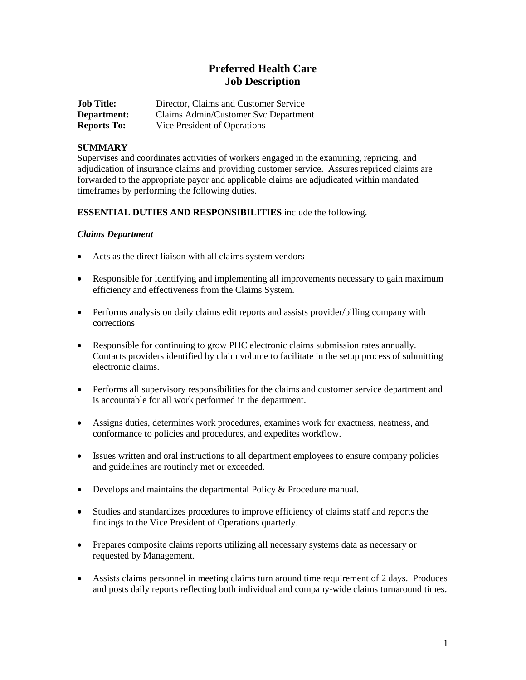# **Preferred Health Care Job Description**

| <b>Job Title:</b>  | Director, Claims and Customer Service |
|--------------------|---------------------------------------|
| Department:        | Claims Admin/Customer Svc Department  |
| <b>Reports To:</b> | Vice President of Operations          |

#### **SUMMARY**

Supervises and coordinates activities of workers engaged in the examining, repricing, and adjudication of insurance claims and providing customer service. Assures repriced claims are forwarded to the appropriate payor and applicable claims are adjudicated within mandated timeframes by performing the following duties.

#### **ESSENTIAL DUTIES AND RESPONSIBILITIES** include the following.

#### *Claims Department*

- Acts as the direct liaison with all claims system vendors
- Responsible for identifying and implementing all improvements necessary to gain maximum efficiency and effectiveness from the Claims System.
- Performs analysis on daily claims edit reports and assists provider/billing company with corrections
- Responsible for continuing to grow PHC electronic claims submission rates annually. Contacts providers identified by claim volume to facilitate in the setup process of submitting electronic claims.
- Performs all supervisory responsibilities for the claims and customer service department and is accountable for all work performed in the department.
- Assigns duties, determines work procedures, examines work for exactness, neatness, and conformance to policies and procedures, and expedites workflow.
- Issues written and oral instructions to all department employees to ensure company policies and guidelines are routinely met or exceeded.
- Develops and maintains the departmental Policy & Procedure manual.
- Studies and standardizes procedures to improve efficiency of claims staff and reports the findings to the Vice President of Operations quarterly.
- Prepares composite claims reports utilizing all necessary systems data as necessary or requested by Management.
- Assists claims personnel in meeting claims turn around time requirement of 2 days. Produces and posts daily reports reflecting both individual and company-wide claims turnaround times.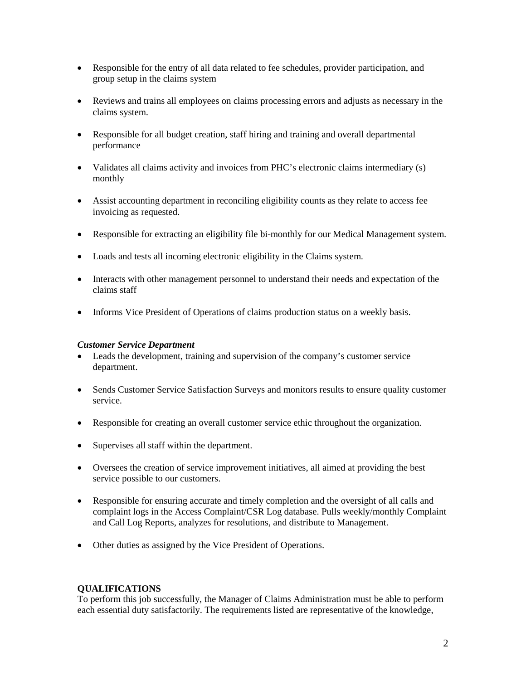- Responsible for the entry of all data related to fee schedules, provider participation, and group setup in the claims system
- Reviews and trains all employees on claims processing errors and adjusts as necessary in the claims system.
- Responsible for all budget creation, staff hiring and training and overall departmental performance
- Validates all claims activity and invoices from PHC's electronic claims intermediary (s) monthly
- Assist accounting department in reconciling eligibility counts as they relate to access fee invoicing as requested.
- Responsible for extracting an eligibility file bi-monthly for our Medical Management system.
- Loads and tests all incoming electronic eligibility in the Claims system.
- Interacts with other management personnel to understand their needs and expectation of the claims staff
- Informs Vice President of Operations of claims production status on a weekly basis.

## *Customer Service Department*

- Leads the development, training and supervision of the company's customer service department.
- Sends Customer Service Satisfaction Surveys and monitors results to ensure quality customer service.
- Responsible for creating an overall customer service ethic throughout the organization.
- Supervises all staff within the department.
- Oversees the creation of service improvement initiatives, all aimed at providing the best service possible to our customers.
- Responsible for ensuring accurate and timely completion and the oversight of all calls and complaint logs in the Access Complaint/CSR Log database. Pulls weekly/monthly Complaint and Call Log Reports, analyzes for resolutions, and distribute to Management.
- Other duties as assigned by the Vice President of Operations.

## **QUALIFICATIONS**

To perform this job successfully, the Manager of Claims Administration must be able to perform each essential duty satisfactorily. The requirements listed are representative of the knowledge,